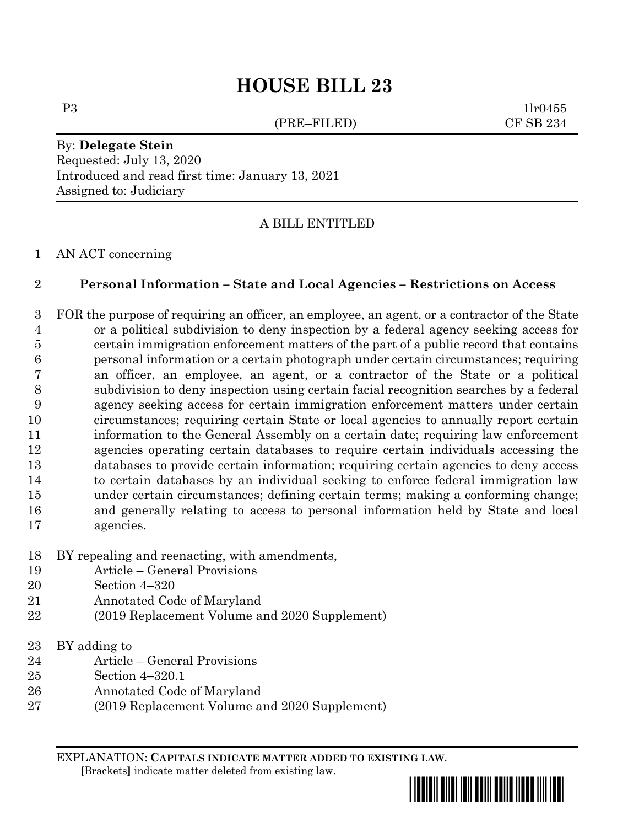# **HOUSE BILL 23**

(PRE–FILED) CF SB 234

 $P3$  1lr0455

By: **Delegate Stein** Requested: July 13, 2020 Introduced and read first time: January 13, 2021 Assigned to: Judiciary

## A BILL ENTITLED

AN ACT concerning

## **Personal Information – State and Local Agencies – Restrictions on Access**

 FOR the purpose of requiring an officer, an employee, an agent, or a contractor of the State or a political subdivision to deny inspection by a federal agency seeking access for certain immigration enforcement matters of the part of a public record that contains personal information or a certain photograph under certain circumstances; requiring an officer, an employee, an agent, or a contractor of the State or a political subdivision to deny inspection using certain facial recognition searches by a federal agency seeking access for certain immigration enforcement matters under certain circumstances; requiring certain State or local agencies to annually report certain information to the General Assembly on a certain date; requiring law enforcement agencies operating certain databases to require certain individuals accessing the databases to provide certain information; requiring certain agencies to deny access to certain databases by an individual seeking to enforce federal immigration law under certain circumstances; defining certain terms; making a conforming change; and generally relating to access to personal information held by State and local agencies.

- BY repealing and reenacting, with amendments,
- Article General Provisions
- Section 4–320
- Annotated Code of Maryland
- (2019 Replacement Volume and 2020 Supplement)
- BY adding to
- Article General Provisions
- Section 4–320.1
- Annotated Code of Maryland
- (2019 Replacement Volume and 2020 Supplement)

EXPLANATION: **CAPITALS INDICATE MATTER ADDED TO EXISTING LAW**.  **[**Brackets**]** indicate matter deleted from existing law.

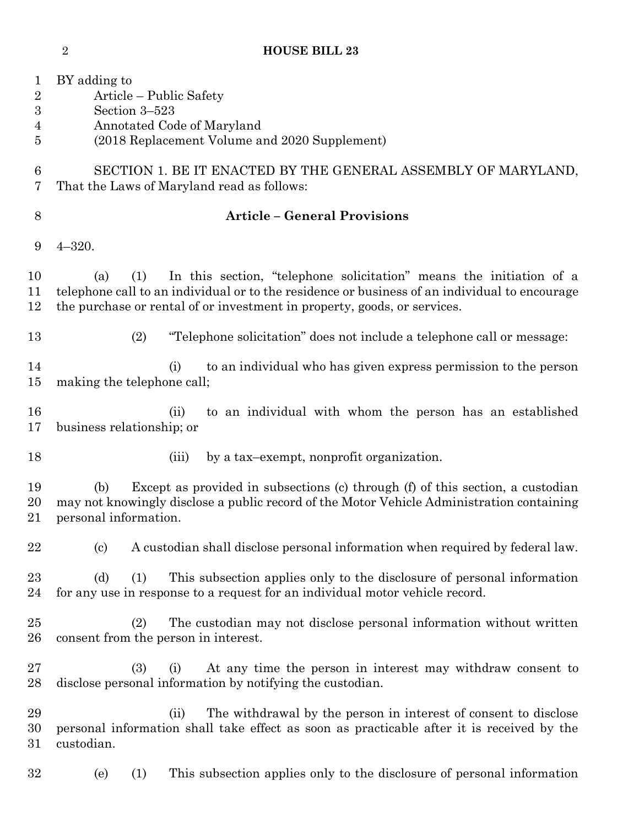**HOUSE BILL 23** BY adding to Article – Public Safety Section 3–523 Annotated Code of Maryland (2018 Replacement Volume and 2020 Supplement) SECTION 1. BE IT ENACTED BY THE GENERAL ASSEMBLY OF MARYLAND, That the Laws of Maryland read as follows: **Article – General Provisions** 4–320. (a) (1) In this section, "telephone solicitation" means the initiation of a telephone call to an individual or to the residence or business of an individual to encourage the purchase or rental of or investment in property, goods, or services. (2) "Telephone solicitation" does not include a telephone call or message: (i) to an individual who has given express permission to the person making the telephone call; (ii) to an individual with whom the person has an established business relationship; or (iii) by a tax–exempt, nonprofit organization. (b) Except as provided in subsections (c) through (f) of this section, a custodian may not knowingly disclose a public record of the Motor Vehicle Administration containing personal information. (c) A custodian shall disclose personal information when required by federal law. (d) (1) This subsection applies only to the disclosure of personal information for any use in response to a request for an individual motor vehicle record. (2) The custodian may not disclose personal information without written consent from the person in interest. (3) (i) At any time the person in interest may withdraw consent to disclose personal information by notifying the custodian. (ii) The withdrawal by the person in interest of consent to disclose personal information shall take effect as soon as practicable after it is received by the custodian. (e) (1) This subsection applies only to the disclosure of personal information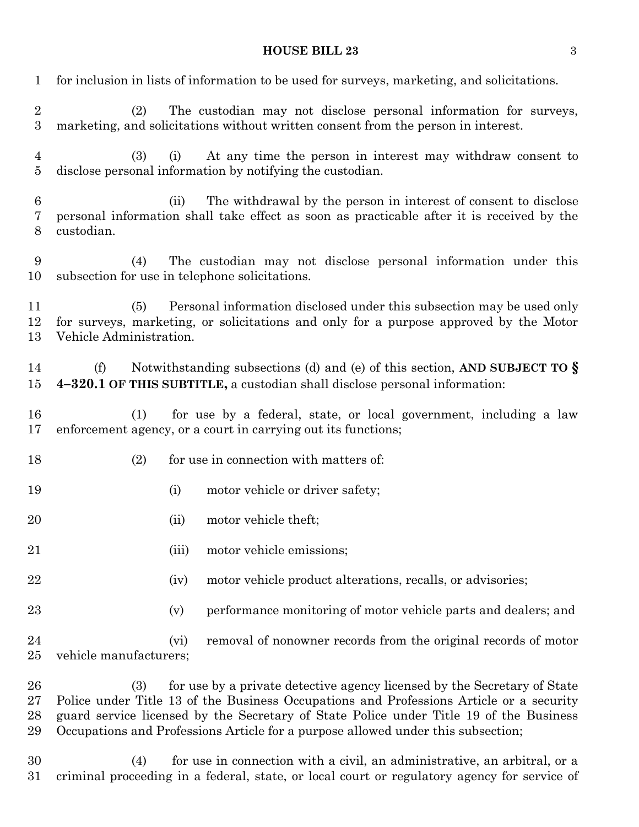## **HOUSE BILL 23** 3

| $\mathbf 1$                   |                                                       |       | for inclusion in lists of information to be used for surveys, marketing, and solicitations.                                                                                                                                                                                                                                                       |
|-------------------------------|-------------------------------------------------------|-------|---------------------------------------------------------------------------------------------------------------------------------------------------------------------------------------------------------------------------------------------------------------------------------------------------------------------------------------------------|
| $\overline{2}$<br>3           | (2)                                                   |       | The custodian may not disclose personal information for surveys,<br>marketing, and solicitations without written consent from the person in interest.                                                                                                                                                                                             |
| 4<br>$\overline{5}$           | (3)                                                   | (i)   | At any time the person in interest may withdraw consent to<br>disclose personal information by notifying the custodian.                                                                                                                                                                                                                           |
| 6<br>7<br>8                   | custodian.                                            | (ii)  | The withdrawal by the person in interest of consent to disclose<br>personal information shall take effect as soon as practicable after it is received by the                                                                                                                                                                                      |
| 9<br>10                       | (4)<br>subsection for use in telephone solicitations. |       | The custodian may not disclose personal information under this                                                                                                                                                                                                                                                                                    |
| 11<br>12<br>13                | (5)<br>Vehicle Administration.                        |       | Personal information disclosed under this subsection may be used only<br>for surveys, marketing, or solicitations and only for a purpose approved by the Motor                                                                                                                                                                                    |
| 14<br>$15\,$                  | (f)                                                   |       | Notwithstanding subsections (d) and (e) of this section, AND SUBJECT TO $\S$<br>4-320.1 OF THIS SUBTITLE, a custodian shall disclose personal information:                                                                                                                                                                                        |
| 16<br>17                      | (1)                                                   |       | for use by a federal, state, or local government, including a law<br>enforcement agency, or a court in carrying out its functions;                                                                                                                                                                                                                |
| 18                            | (2)                                                   |       | for use in connection with matters of:                                                                                                                                                                                                                                                                                                            |
| 19                            |                                                       | (i)   | motor vehicle or driver safety;                                                                                                                                                                                                                                                                                                                   |
| 20                            |                                                       | (ii)  | motor vehicle theft;                                                                                                                                                                                                                                                                                                                              |
| 21                            |                                                       | (iii) | motor vehicle emissions;                                                                                                                                                                                                                                                                                                                          |
| 22                            |                                                       | (iv)  | motor vehicle product alterations, recalls, or advisories;                                                                                                                                                                                                                                                                                        |
| 23                            |                                                       | (v)   | performance monitoring of motor vehicle parts and dealers; and                                                                                                                                                                                                                                                                                    |
| 24<br>25                      | vehicle manufacturers;                                | (vi)  | removal of nonowner records from the original records of motor                                                                                                                                                                                                                                                                                    |
| 26<br>$27\,$<br>$^{28}$<br>29 | (3)                                                   |       | for use by a private detective agency licensed by the Secretary of State<br>Police under Title 13 of the Business Occupations and Professions Article or a security<br>guard service licensed by the Secretary of State Police under Title 19 of the Business<br>Occupations and Professions Article for a purpose allowed under this subsection; |

 (4) for use in connection with a civil, an administrative, an arbitral, or a criminal proceeding in a federal, state, or local court or regulatory agency for service of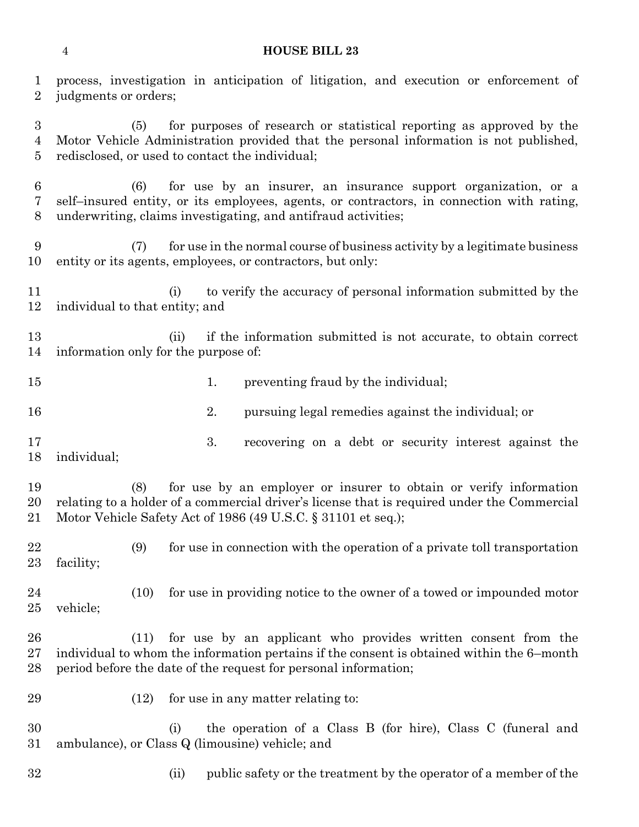#### **HOUSE BILL 23**

 process, investigation in anticipation of litigation, and execution or enforcement of judgments or orders;

 (5) for purposes of research or statistical reporting as approved by the Motor Vehicle Administration provided that the personal information is not published, redisclosed, or used to contact the individual;

 (6) for use by an insurer, an insurance support organization, or a self–insured entity, or its employees, agents, or contractors, in connection with rating, underwriting, claims investigating, and antifraud activities;

 (7) for use in the normal course of business activity by a legitimate business entity or its agents, employees, or contractors, but only:

11 (i) to verify the accuracy of personal information submitted by the individual to that entity; and

 (ii) if the information submitted is not accurate, to obtain correct information only for the purpose of:

- 15 1. preventing fraud by the individual;
- 2. pursuing legal remedies against the individual; or
- 3. recovering on a debt or security interest against the individual;

 (8) for use by an employer or insurer to obtain or verify information relating to a holder of a commercial driver's license that is required under the Commercial Motor Vehicle Safety Act of 1986 (49 U.S.C. § 31101 et seq.);

 (9) for use in connection with the operation of a private toll transportation facility;

 (10) for use in providing notice to the owner of a towed or impounded motor vehicle;

- (11) for use by an applicant who provides written consent from the individual to whom the information pertains if the consent is obtained within the 6–month period before the date of the request for personal information;
- 29 (12) for use in any matter relating to:

 (i) the operation of a Class B (for hire), Class C (funeral and ambulance), or Class Q (limousine) vehicle; and

- 
- 32 (ii) public safety or the treatment by the operator of a member of the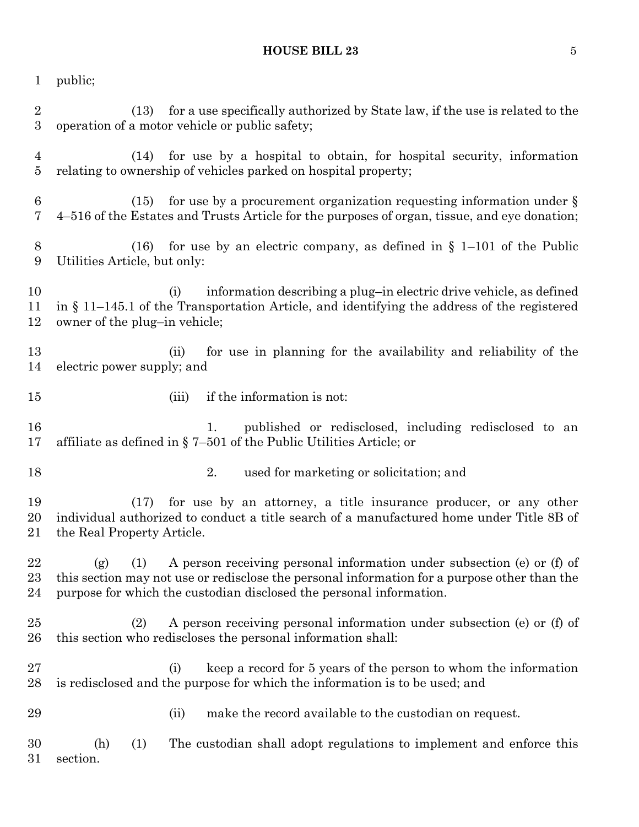#### **HOUSE BILL 23** 5

public;

 (13) for a use specifically authorized by State law, if the use is related to the operation of a motor vehicle or public safety; (14) for use by a hospital to obtain, for hospital security, information relating to ownership of vehicles parked on hospital property; (15) for use by a procurement organization requesting information under § 4–516 of the Estates and Trusts Article for the purposes of organ, tissue, and eye donation; (16) for use by an electric company, as defined in § 1–101 of the Public Utilities Article, but only: (i) information describing a plug–in electric drive vehicle, as defined in § 11–145.1 of the Transportation Article, and identifying the address of the registered owner of the plug–in vehicle; (ii) for use in planning for the availability and reliability of the electric power supply; and 15 (iii) if the information is not: 1. published or redisclosed, including redisclosed to an affiliate as defined in § 7–501 of the Public Utilities Article; or 2. used for marketing or solicitation; and (17) for use by an attorney, a title insurance producer, or any other individual authorized to conduct a title search of a manufactured home under Title 8B of the Real Property Article. (g) (1) A person receiving personal information under subsection (e) or (f) of this section may not use or redisclose the personal information for a purpose other than the purpose for which the custodian disclosed the personal information. (2) A person receiving personal information under subsection (e) or (f) of this section who rediscloses the personal information shall: (i) keep a record for 5 years of the person to whom the information is redisclosed and the purpose for which the information is to be used; and (ii) make the record available to the custodian on request. (h) (1) The custodian shall adopt regulations to implement and enforce this section.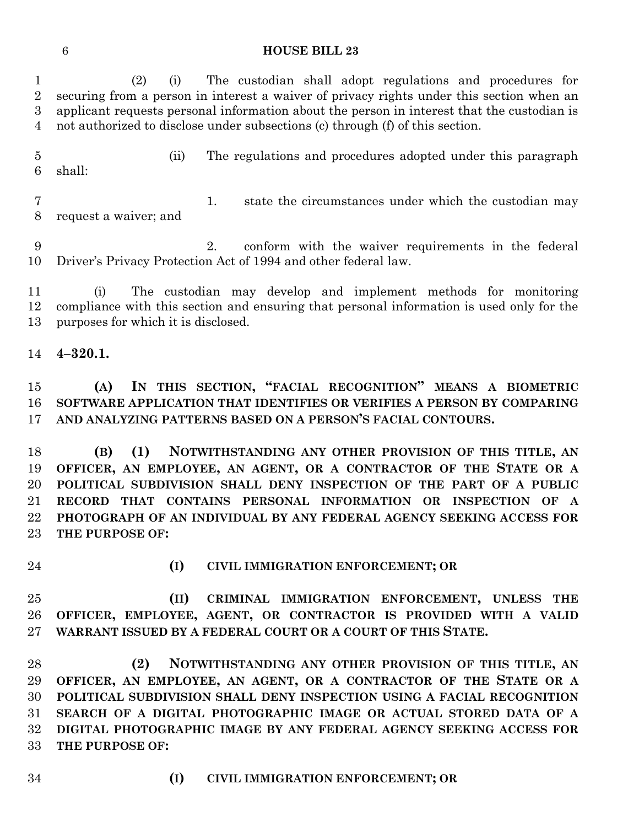#### **HOUSE BILL 23**

| ◢               | <u>NECOND HIAI CONTAINS LENSONAL INFONMATION ON II</u>  |
|-----------------|---------------------------------------------------------|
| $22\,$          | PHOTOGRAPH OF AN INDIVIDUAL BY ANY FEDERAL AGENCY SEI   |
| 23              | THE PURPOSE OF:                                         |
| 24              | (I)<br>CIVIL IMMIGRATION ENFORCEMENT; OR                |
| 25              | CRIMINAL IMMIGRATION ENFORCEME<br>(II)                  |
| 26              | OFFICER, EMPLOYEE, AGENT, OR CONTRACTOR IS PROVIDE      |
| 27 <sub>2</sub> | WARRANT ISSUED BY A FEDERAL COURT OR A COURT OF THIS ST |
| 28              | (2) NOTWITHSTANDING ANY OTHER PROVISION O               |
| 29              | OFFICER, AN EMPLOYEE, AN AGENT, OR A CONTRACTOR OF      |
| 30              | POLITICAL SUBDIVISION SHALL DENY INSPECTION USING A FAC |
| 31              | SEARCH OF A DIGITAL PHOTOGRAPHIC IMAGE OR ACTUAL ST     |
| $32\,$          | DIGITAL PHOTOGRAPHIC IMAGE BY ANY FEDERAL AGENCY SEE    |
| 33              | THE PURPOSE OF:                                         |
| 34              | (I)<br>CIVIL IMMIGRATION ENFORCEMENT; OR                |
|                 |                                                         |
|                 |                                                         |

 (2) (i) The custodian shall adopt regulations and procedures for securing from a person in interest a waiver of privacy rights under this section when an applicant requests personal information about the person in interest that the custodian is not authorized to disclose under subsections (c) through (f) of this section.

 (ii) The regulations and procedures adopted under this paragraph shall:

 1. state the circumstances under which the custodian may request a waiver; and

 2. conform with the waiver requirements in the federal Driver's Privacy Protection Act of 1994 and other federal law.

 (i) The custodian may develop and implement methods for monitoring compliance with this section and ensuring that personal information is used only for the purposes for which it is disclosed.

**4–320.1.**

 **(A) IN THIS SECTION, "FACIAL RECOGNITION" MEANS A BIOMETRIC SOFTWARE APPLICATION THAT IDENTIFIES OR VERIFIES A PERSON BY COMPARING AND ANALYZING PATTERNS BASED ON A PERSON'S FACIAL CONTOURS.**

 **(B) (1) NOTWITHSTANDING ANY OTHER PROVISION OF THIS TITLE, AN OFFICER, AN EMPLOYEE, AN AGENT, OR A CONTRACTOR OF THE STATE OR A POLITICAL SUBDIVISION SHALL DENY INSPECTION OF THE PART OF A PUBLIC RECORD THAT CONTAINS PERSONAL INFORMATION OR INSPECTION OF A PHOTOGRAPH OF AN INDIVIDUAL BY ANY FEDERAL AGENCY SEEKING ACCESS FOR THE PURPOSE OF:**

 **(II) CRIMINAL IMMIGRATION ENFORCEMENT, UNLESS THE OFFICER, EMPLOYEE, AGENT, OR CONTRACTOR IS PROVIDED WITH A VALID WARRANT ISSUED BY A FEDERAL COURT OR A COURT OF THIS STATE.**

 **(2) NOTWITHSTANDING ANY OTHER PROVISION OF THIS TITLE, AN OFFICER, AN EMPLOYEE, AN AGENT, OR A CONTRACTOR OF THE STATE OR A POLITICAL SUBDIVISION SHALL DENY INSPECTION USING A FACIAL RECOGNITION SEARCH OF A DIGITAL PHOTOGRAPHIC IMAGE OR ACTUAL STORED DATA OF A DIGITAL PHOTOGRAPHIC IMAGE BY ANY FEDERAL AGENCY SEEKING ACCESS FOR THE PURPOSE OF:**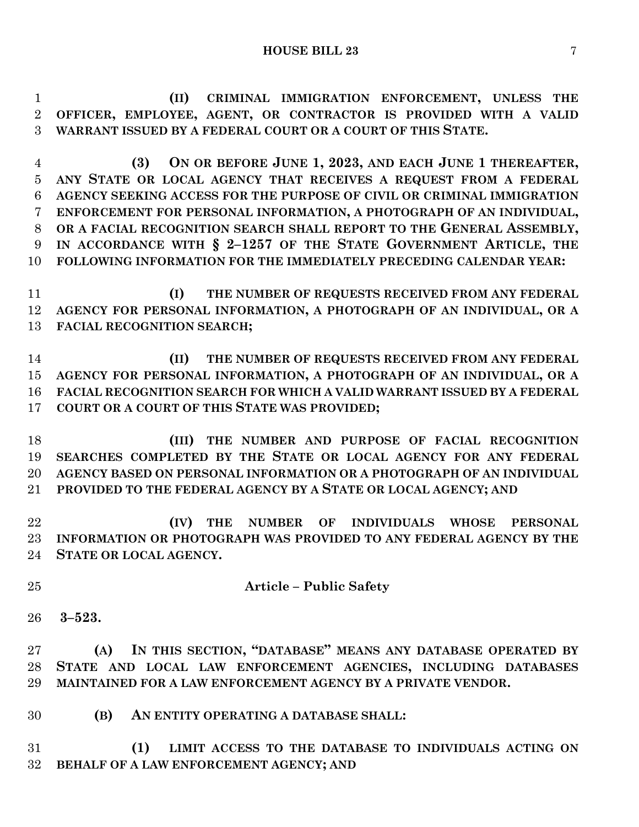**(II) CRIMINAL IMMIGRATION ENFORCEMENT, UNLESS THE OFFICER, EMPLOYEE, AGENT, OR CONTRACTOR IS PROVIDED WITH A VALID WARRANT ISSUED BY A FEDERAL COURT OR A COURT OF THIS STATE.**

 **(3) ON OR BEFORE JUNE 1, 2023, AND EACH JUNE 1 THEREAFTER, ANY STATE OR LOCAL AGENCY THAT RECEIVES A REQUEST FROM A FEDERAL AGENCY SEEKING ACCESS FOR THE PURPOSE OF CIVIL OR CRIMINAL IMMIGRATION ENFORCEMENT FOR PERSONAL INFORMATION, A PHOTOGRAPH OF AN INDIVIDUAL, OR A FACIAL RECOGNITION SEARCH SHALL REPORT TO THE GENERAL ASSEMBLY, IN ACCORDANCE WITH § 2–1257 OF THE STATE GOVERNMENT ARTICLE, THE FOLLOWING INFORMATION FOR THE IMMEDIATELY PRECEDING CALENDAR YEAR:**

 **(I) THE NUMBER OF REQUESTS RECEIVED FROM ANY FEDERAL AGENCY FOR PERSONAL INFORMATION, A PHOTOGRAPH OF AN INDIVIDUAL, OR A FACIAL RECOGNITION SEARCH;**

 **(II) THE NUMBER OF REQUESTS RECEIVED FROM ANY FEDERAL AGENCY FOR PERSONAL INFORMATION, A PHOTOGRAPH OF AN INDIVIDUAL, OR A FACIAL RECOGNITION SEARCH FOR WHICH A VALID WARRANT ISSUED BY A FEDERAL COURT OR A COURT OF THIS STATE WAS PROVIDED;**

 **(III) THE NUMBER AND PURPOSE OF FACIAL RECOGNITION SEARCHES COMPLETED BY THE STATE OR LOCAL AGENCY FOR ANY FEDERAL AGENCY BASED ON PERSONAL INFORMATION OR A PHOTOGRAPH OF AN INDIVIDUAL PROVIDED TO THE FEDERAL AGENCY BY A STATE OR LOCAL AGENCY; AND**

 **(IV) THE NUMBER OF INDIVIDUALS WHOSE PERSONAL INFORMATION OR PHOTOGRAPH WAS PROVIDED TO ANY FEDERAL AGENCY BY THE STATE OR LOCAL AGENCY.**

**Article – Public Safety**

**3–523.**

 **(A) IN THIS SECTION, "DATABASE" MEANS ANY DATABASE OPERATED BY STATE AND LOCAL LAW ENFORCEMENT AGENCIES, INCLUDING DATABASES MAINTAINED FOR A LAW ENFORCEMENT AGENCY BY A PRIVATE VENDOR.**

**(B) AN ENTITY OPERATING A DATABASE SHALL:**

 **(1) LIMIT ACCESS TO THE DATABASE TO INDIVIDUALS ACTING ON BEHALF OF A LAW ENFORCEMENT AGENCY; AND**